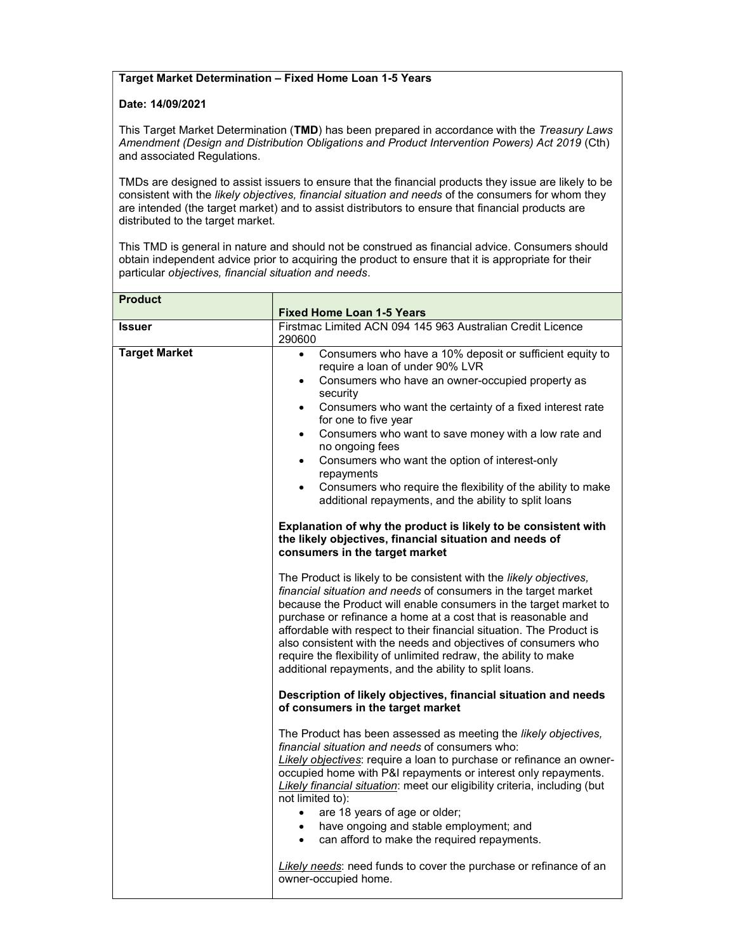## Target Market Determination – Fixed Home Loan 1-5 Years

## Date: 14/09/2021

This Target Market Determination (TMD) has been prepared in accordance with the Treasury Laws Amendment (Design and Distribution Obligations and Product Intervention Powers) Act 2019 (Cth) and associated Regulations.

TMDs are designed to assist issuers to ensure that the financial products they issue are likely to be consistent with the likely objectives, financial situation and needs of the consumers for whom they are intended (the target market) and to assist distributors to ensure that financial products are distributed to the target market.

This TMD is general in nature and should not be construed as financial advice. Consumers should obtain independent advice prior to acquiring the product to ensure that it is appropriate for their particular objectives, financial situation and needs.